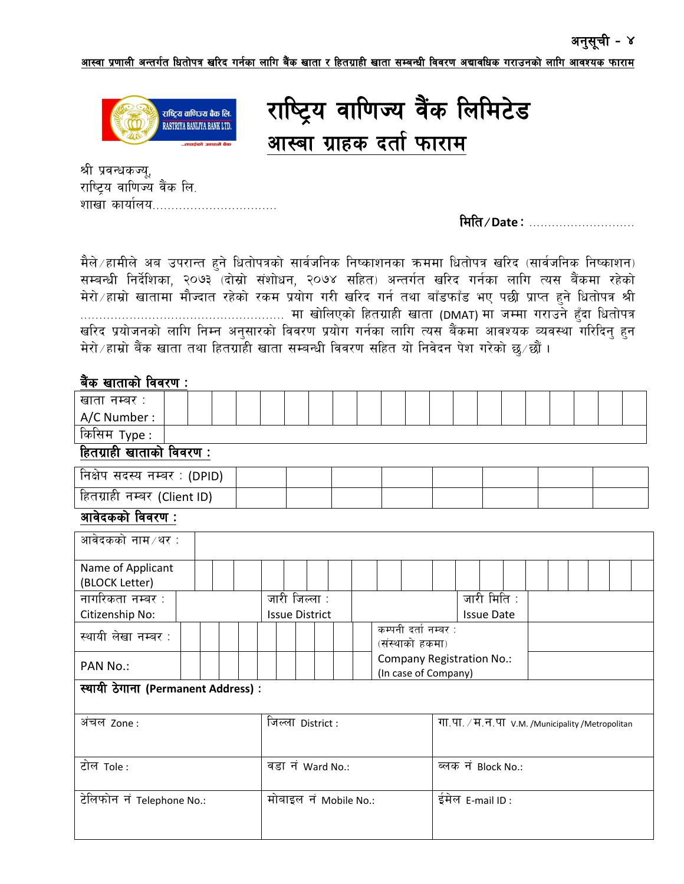आस्वा प्रणाली अन्तर्गत धितोपत्र खरिद गर्नका लागि बैंक खाता र हितग्राही खाता सम्बन्धी विवरण अद्यावधिक गराउनको लागि आवश्यक फाराम



राष्ट्रिय वाणिज्य वैंक लिमिटेड आस्बा ग्राहक दर्ता फाराम

श्री प्रवन्धकज्यू, राष्ट्रिय वाणिज्य वैंक लि. शाखा कार्यालय……………………

मिति / Date: .......................

मैले / हामीले अब उपरान्त हुने धितोपत्रको सार्वजनिक निष्काशनका क्रममा धितोपत्र खरिद (सार्वजनिक निष्काशन) सम्बन्धी निर्देशिका, २०७३ (दोस्रो संशोधन, २०७४ सहित) अन्तर्गत खरिद गर्नका लागि त्यस बैंकमा रहेको मेरो ∕ हाम्रो खातामा मौज्दात रहेको रकम प्रयोग गरी खरिद गर्न तथा बाँडफाँड भए पछी प्राप्त हुने धितोपत्र श्री खरिद प्रयोजनको लागि निम्न अनुसारको विवरण प्रयोग गर्नका लागि त्यस बैंकमा आवश्यक व्यवस्था गरिदिनु हुन मेरो / हाम्रो बैंक खाता तथा हितग्राही खाता सम्बन्धी विवरण सहित यो निवेदन पेश गरेको छ/छौं।

## बैंक खाताको विवरण :

| खाता नम्बर :                  |  |  |  |  |  |  |  |  |  |  |
|-------------------------------|--|--|--|--|--|--|--|--|--|--|
| A/C Number:                   |  |  |  |  |  |  |  |  |  |  |
| $\sim$ $\sim$<br>किसिम Type : |  |  |  |  |  |  |  |  |  |  |

हितग्राही खाताको विवरण :

| निक्षेप सदस्य नम्बर : (DPID)    |  |  |  |  |
|---------------------------------|--|--|--|--|
| हितग्राही  नम्बर  (Client ID) । |  |  |  |  |

## आवेदकको विवरण :

| आवेदकको नाम ∕थर :                  |                                         |                                                  |  |  |  |  |  |  |  |
|------------------------------------|-----------------------------------------|--------------------------------------------------|--|--|--|--|--|--|--|
| Name of Applicant                  |                                         |                                                  |  |  |  |  |  |  |  |
| (BLOCK Letter)                     |                                         |                                                  |  |  |  |  |  |  |  |
| नागरिकता नम्बर :                   | जारी जिल्ला :                           | जारी मिति:                                       |  |  |  |  |  |  |  |
| Citizenship No:                    | <b>Issue District</b>                   | <b>Issue Date</b>                                |  |  |  |  |  |  |  |
| स्थायी लेखा नम्बर :                | कम्पनी दर्ता नम्बर :<br>(संस्थाको हकमा) |                                                  |  |  |  |  |  |  |  |
| PAN No.:                           | (In case of Company)                    | Company Registration No.:                        |  |  |  |  |  |  |  |
| स्थायी ठेगाना (Permanent Address): |                                         |                                                  |  |  |  |  |  |  |  |
| अंचल zone :                        | जिल्ला District :                       | गा.पा. / म.न.पा v.m. /Municipality /Metropolitan |  |  |  |  |  |  |  |
| टोल Tole:                          | वड़ा न Ward No.:                        | ब्लक नं Block No.:                               |  |  |  |  |  |  |  |
| टेलिफोन नं Telephone No.:          | मोबाइल नं Mobile No.:                   | ईमेल E-mail ID:                                  |  |  |  |  |  |  |  |